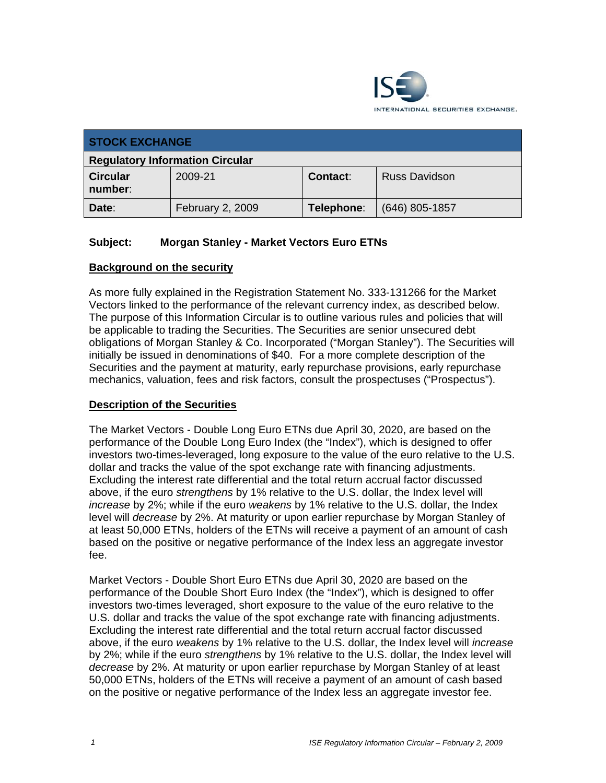

| <b>STOCK EXCHANGE</b>                  |                  |            |                      |  |
|----------------------------------------|------------------|------------|----------------------|--|
| <b>Regulatory Information Circular</b> |                  |            |                      |  |
| <b>Circular</b><br>number:             | 2009-21          | Contact:   | <b>Russ Davidson</b> |  |
| Date:                                  | February 2, 2009 | Telephone: | $(646)$ 805-1857     |  |

## **Subject: Morgan Stanley - Market Vectors Euro ETNs**

#### **Background on the security**

As more fully explained in the Registration Statement No. 333-131266 for the Market Vectors linked to the performance of the relevant currency index, as described below. The purpose of this Information Circular is to outline various rules and policies that will be applicable to trading the Securities. The Securities are senior unsecured debt obligations of Morgan Stanley & Co. Incorporated ("Morgan Stanley"). The Securities will initially be issued in denominations of \$40. For a more complete description of the Securities and the payment at maturity, early repurchase provisions, early repurchase mechanics, valuation, fees and risk factors, consult the prospectuses ("Prospectus").

## **Description of the Securities**

The Market Vectors - Double Long Euro ETNs due April 30, 2020, are based on the performance of the Double Long Euro Index (the "Index"), which is designed to offer investors two-times-leveraged, long exposure to the value of the euro relative to the U.S. dollar and tracks the value of the spot exchange rate with financing adjustments. Excluding the interest rate differential and the total return accrual factor discussed above, if the euro *strengthens* by 1% relative to the U.S. dollar, the Index level will *increase* by 2%; while if the euro *weakens* by 1% relative to the U.S. dollar, the Index level will *decrease* by 2%. At maturity or upon earlier repurchase by Morgan Stanley of at least 50,000 ETNs, holders of the ETNs will receive a payment of an amount of cash based on the positive or negative performance of the Index less an aggregate investor fee.

Market Vectors - Double Short Euro ETNs due April 30, 2020 are based on the performance of the Double Short Euro Index (the "Index"), which is designed to offer investors two-times leveraged, short exposure to the value of the euro relative to the U.S. dollar and tracks the value of the spot exchange rate with financing adjustments. Excluding the interest rate differential and the total return accrual factor discussed above, if the euro *weakens* by 1% relative to the U.S. dollar, the Index level will *increase*  by 2%; while if the euro *strengthens* by 1% relative to the U.S. dollar, the Index level will *decrease* by 2%. At maturity or upon earlier repurchase by Morgan Stanley of at least 50,000 ETNs, holders of the ETNs will receive a payment of an amount of cash based on the positive or negative performance of the Index less an aggregate investor fee.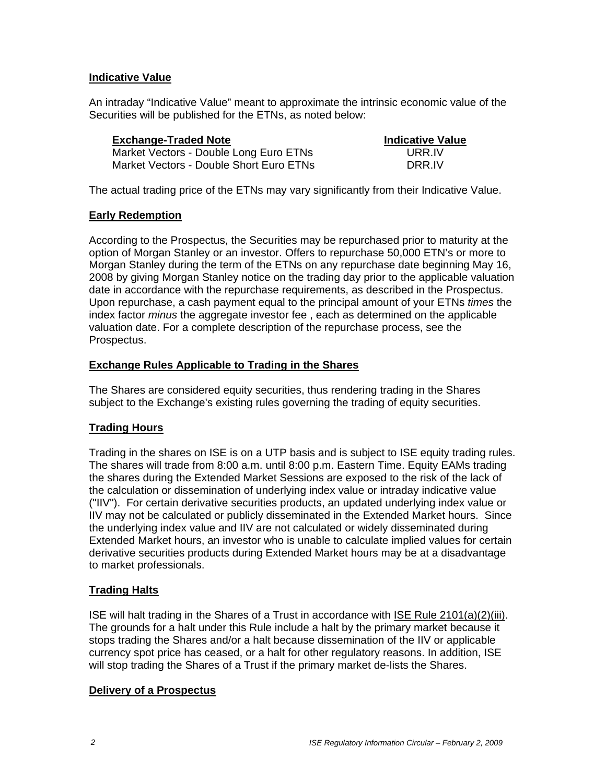## **Indicative Value**

An intraday "Indicative Value" meant to approximate the intrinsic economic value of the Securities will be published for the ETNs, as noted below:

| <b>Exchange-Traded Note</b>             | <b>Indicative Value</b> |
|-----------------------------------------|-------------------------|
| Market Vectors - Double Long Euro ETNs  | URR IV                  |
| Market Vectors - Double Short Euro ETNs | DRR IV                  |

The actual trading price of the ETNs may vary significantly from their Indicative Value.

#### **Early Redemption**

According to the Prospectus, the Securities may be repurchased prior to maturity at the option of Morgan Stanley or an investor. Offers to repurchase 50,000 ETN's or more to Morgan Stanley during the term of the ETNs on any repurchase date beginning May 16, 2008 by giving Morgan Stanley notice on the trading day prior to the applicable valuation date in accordance with the repurchase requirements, as described in the Prospectus. Upon repurchase, a cash payment equal to the principal amount of your ETNs *times* the index factor *minus* the aggregate investor fee , each as determined on the applicable valuation date. For a complete description of the repurchase process, see the Prospectus.

#### **Exchange Rules Applicable to Trading in the Shares**

The Shares are considered equity securities, thus rendering trading in the Shares subject to the Exchange's existing rules governing the trading of equity securities.

## **Trading Hours**

Trading in the shares on ISE is on a UTP basis and is subject to ISE equity trading rules. The shares will trade from 8:00 a.m. until 8:00 p.m. Eastern Time. Equity EAMs trading the shares during the Extended Market Sessions are exposed to the risk of the lack of the calculation or dissemination of underlying index value or intraday indicative value ("IIV"). For certain derivative securities products, an updated underlying index value or IIV may not be calculated or publicly disseminated in the Extended Market hours. Since the underlying index value and IIV are not calculated or widely disseminated during Extended Market hours, an investor who is unable to calculate implied values for certain derivative securities products during Extended Market hours may be at a disadvantage to market professionals.

## **Trading Halts**

ISE will halt trading in the Shares of a Trust in accordance with ISE Rule 2101(a)(2)(iii). The grounds for a halt under this Rule include a halt by the primary market because it stops trading the Shares and/or a halt because dissemination of the IIV or applicable currency spot price has ceased, or a halt for other regulatory reasons. In addition, ISE will stop trading the Shares of a Trust if the primary market de-lists the Shares.

#### **Delivery of a Prospectus**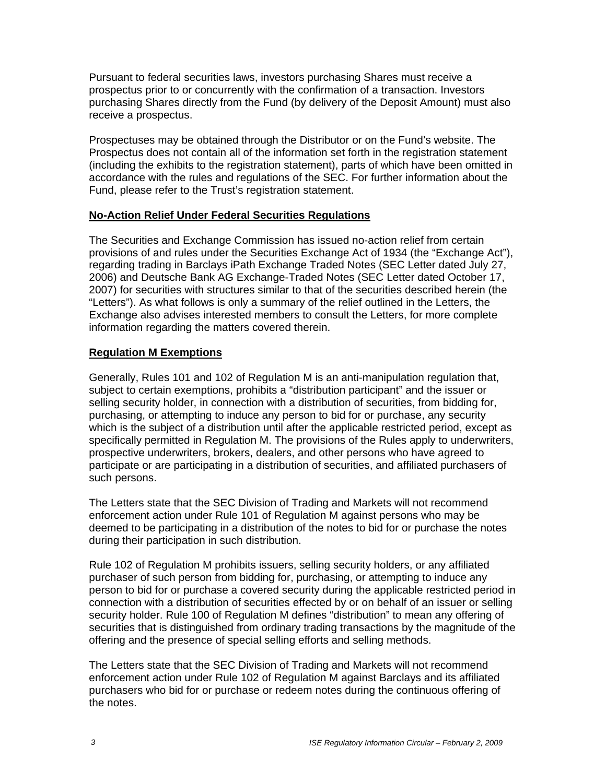Pursuant to federal securities laws, investors purchasing Shares must receive a prospectus prior to or concurrently with the confirmation of a transaction. Investors purchasing Shares directly from the Fund (by delivery of the Deposit Amount) must also receive a prospectus.

Prospectuses may be obtained through the Distributor or on the Fund's website. The Prospectus does not contain all of the information set forth in the registration statement (including the exhibits to the registration statement), parts of which have been omitted in accordance with the rules and regulations of the SEC. For further information about the Fund, please refer to the Trust's registration statement.

## **No-Action Relief Under Federal Securities Regulations**

The Securities and Exchange Commission has issued no-action relief from certain provisions of and rules under the Securities Exchange Act of 1934 (the "Exchange Act"), regarding trading in Barclays iPath Exchange Traded Notes (SEC Letter dated July 27, 2006) and Deutsche Bank AG Exchange-Traded Notes (SEC Letter dated October 17, 2007) for securities with structures similar to that of the securities described herein (the "Letters"). As what follows is only a summary of the relief outlined in the Letters, the Exchange also advises interested members to consult the Letters, for more complete information regarding the matters covered therein.

#### **Regulation M Exemptions**

Generally, Rules 101 and 102 of Regulation M is an anti-manipulation regulation that, subject to certain exemptions, prohibits a "distribution participant" and the issuer or selling security holder, in connection with a distribution of securities, from bidding for, purchasing, or attempting to induce any person to bid for or purchase, any security which is the subject of a distribution until after the applicable restricted period, except as specifically permitted in Regulation M. The provisions of the Rules apply to underwriters, prospective underwriters, brokers, dealers, and other persons who have agreed to participate or are participating in a distribution of securities, and affiliated purchasers of such persons.

The Letters state that the SEC Division of Trading and Markets will not recommend enforcement action under Rule 101 of Regulation M against persons who may be deemed to be participating in a distribution of the notes to bid for or purchase the notes during their participation in such distribution.

Rule 102 of Regulation M prohibits issuers, selling security holders, or any affiliated purchaser of such person from bidding for, purchasing, or attempting to induce any person to bid for or purchase a covered security during the applicable restricted period in connection with a distribution of securities effected by or on behalf of an issuer or selling security holder. Rule 100 of Regulation M defines "distribution" to mean any offering of securities that is distinguished from ordinary trading transactions by the magnitude of the offering and the presence of special selling efforts and selling methods.

The Letters state that the SEC Division of Trading and Markets will not recommend enforcement action under Rule 102 of Regulation M against Barclays and its affiliated purchasers who bid for or purchase or redeem notes during the continuous offering of the notes.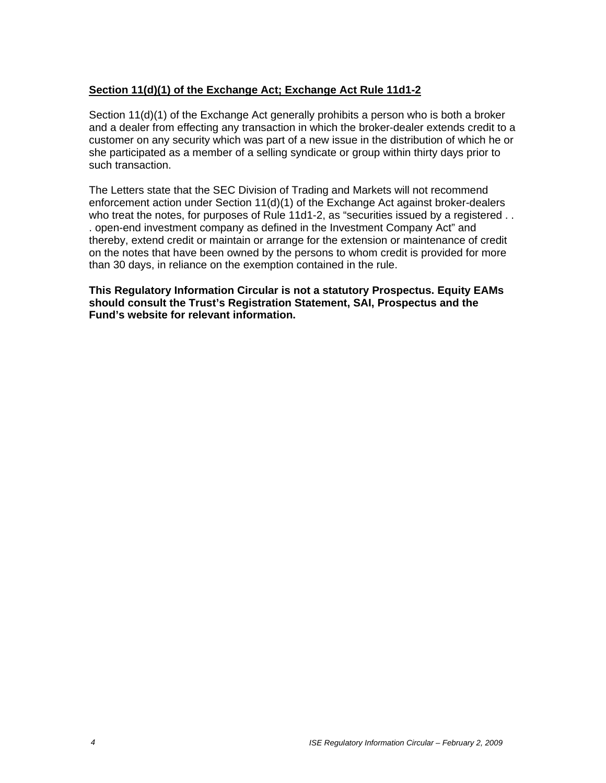## **Section 11(d)(1) of the Exchange Act; Exchange Act Rule 11d1-2**

Section 11(d)(1) of the Exchange Act generally prohibits a person who is both a broker and a dealer from effecting any transaction in which the broker-dealer extends credit to a customer on any security which was part of a new issue in the distribution of which he or she participated as a member of a selling syndicate or group within thirty days prior to such transaction.

The Letters state that the SEC Division of Trading and Markets will not recommend enforcement action under Section 11(d)(1) of the Exchange Act against broker-dealers who treat the notes, for purposes of Rule 11d1-2, as "securities issued by a registered . . . open-end investment company as defined in the Investment Company Act" and thereby, extend credit or maintain or arrange for the extension or maintenance of credit on the notes that have been owned by the persons to whom credit is provided for more than 30 days, in reliance on the exemption contained in the rule.

**This Regulatory Information Circular is not a statutory Prospectus. Equity EAMs should consult the Trust's Registration Statement, SAI, Prospectus and the Fund's website for relevant information.**